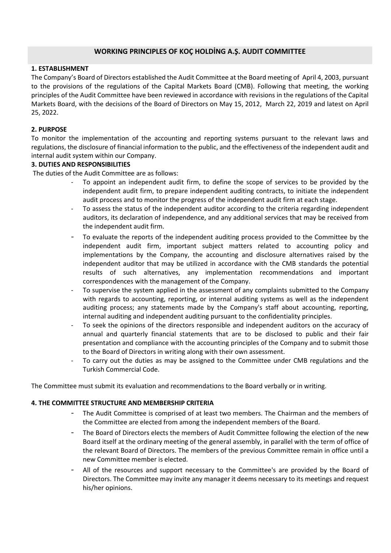# **WORKING PRINCIPLES OF KOÇ HOLDİNG A.Ş. AUDIT COMMITTEE**

## **1. ESTABLISHMENT**

The Company's Board of Directors established the Audit Committee at the Board meeting of April 4, 2003, pursuant to the provisions of the regulations of the Capital Markets Board (CMB). Following that meeting, the working principles of the Audit Committee have been reviewed in accordance with revisions in the regulations of the Capital Markets Board, with the decisions of the Board of Directors on May 15, 2012, March 22, 2019 and latest on April 25, 2022.

## **2. PURPOSE**

To monitor the implementation of the accounting and reporting systems pursuant to the relevant laws and regulations, the disclosure of financial information to the public, and the effectiveness of the independent audit and internal audit system within our Company.

## **3. DUTIES AND RESPONSIBILITIES**

The duties of the Audit Committee are as follows:

- To appoint an independent audit firm, to define the scope of services to be provided by the independent audit firm, to prepare independent auditing contracts, to initiate the independent audit process and to monitor the progress of the independent audit firm at each stage.
- To assess the status of the independent auditor according to the criteria regarding independent auditors, its declaration of independence, and any additional services that may be received from the independent audit firm.
- To evaluate the reports of the independent auditing process provided to the Committee by the independent audit firm, important subject matters related to accounting policy and implementations by the Company, the accounting and disclosure alternatives raised by the independent auditor that may be utilized in accordance with the CMB standards the potential results of such alternatives, any implementation recommendations and important correspondences with the management of the Company.
- To supervise the system applied in the assessment of any complaints submitted to the Company with regards to accounting, reporting, or internal auditing systems as well as the independent auditing process; any statements made by the Company's staff about accounting, reporting, internal auditing and independent auditing pursuant to the confidentiality principles.
- To seek the opinions of the directors responsible and independent auditors on the accuracy of annual and quarterly financial statements that are to be disclosed to public and their fair presentation and compliance with the accounting principles of the Company and to submit those to the Board of Directors in writing along with their own assessment.
- To carry out the duties as may be assigned to the Committee under CMB regulations and the Turkish Commercial Code.

The Committee must submit its evaluation and recommendations to the Board verbally or in writing.

#### **4. THE COMMITTEE STRUCTURE AND MEMBERSHIP CRITERIA**

- The Audit Committee is comprised of at least two members. The Chairman and the members of the Committee are elected from among the independent members of the Board.
- The Board of Directors elects the members of Audit Committee following the election of the new Board itself at the ordinary meeting of the general assembly, in parallel with the term of office of the relevant Board of Directors. The members of the previous Committee remain in office until a new Committee member is elected.
- All of the resources and support necessary to the Committee's are provided by the Board of Directors. The Committee may invite any manager it deems necessary to its meetings and request his/her opinions.